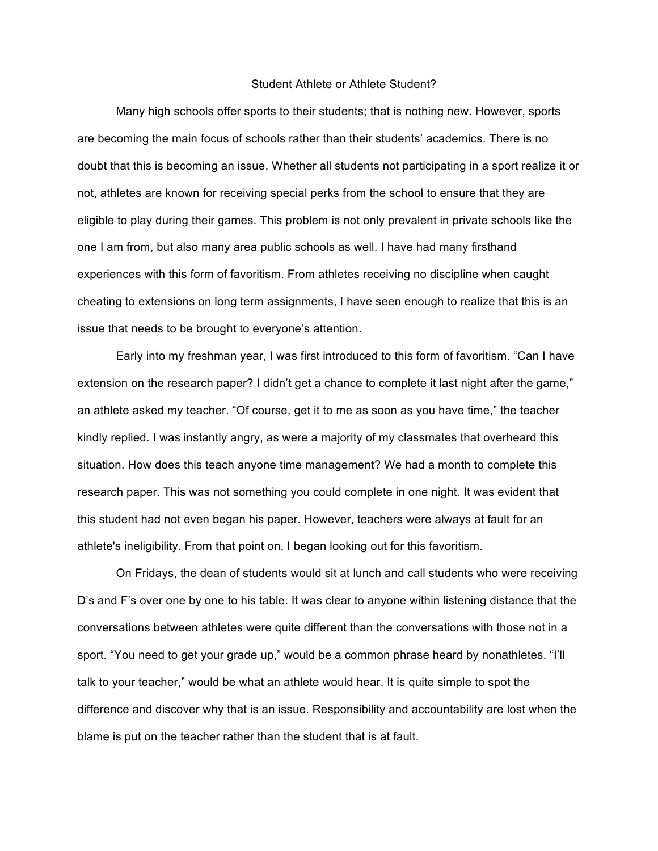## Student Athlete or Athlete Student?

Many high schools offer sports to their students; that is nothing new. However, sports are becoming the main focus of schools rather than their students' academics. There is no doubt that this is becoming an issue. Whether all students not participating in a sport realize it or not, athletes are known for receiving special perks from the school to ensure that they are eligible to play during their games. This problem is not only prevalent in private schools like the one I am from, but also many area public schools as well. I have had many firsthand experiences with this form of favoritism. From athletes receiving no discipline when caught cheating to extensions on long term assignments, I have seen enough to realize that this is an issue that needs to be brought to everyone's attention.

Early into my freshman year, I was first introduced to this form of favoritism. "Can I have extension on the research paper? I didn't get a chance to complete it last night after the game," an athlete asked my teacher. "Of course, get it to me as soon as you have time," the teacher kindly replied. I was instantly angry, as were a majority of my classmates that overheard this situation. How does this teach anyone time management? We had a month to complete this research paper. This was not something you could complete in one night. It was evident that this student had not even began his paper. However, teachers were always at fault for an athlete's ineligibility. From that point on, I began looking out for this favoritism.

On Fridays, the dean of students would sit at lunch and call students who were receiving D's and F's over one by one to his table. It was clear to anyone within listening distance that the conversations between athletes were quite different than the conversations with those not in a sport. "You need to get your grade up," would be a common phrase heard by nonathletes. "I'll talk to your teacher," would be what an athlete would hear. It is quite simple to spot the difference and discover why that is an issue. Responsibility and accountability are lost when the blame is put on the teacher rather than the student that is at fault.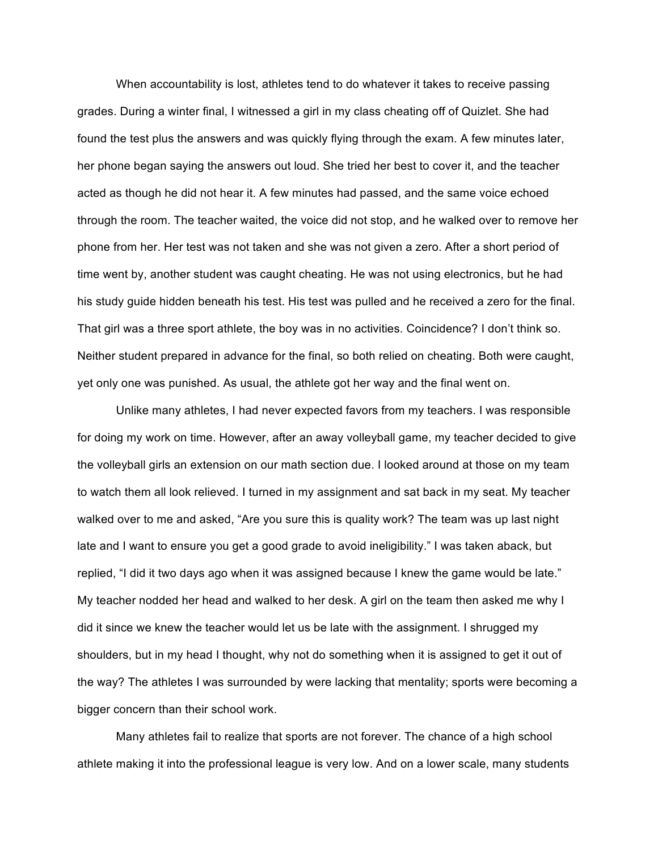When accountability is lost, athletes tend to do whatever it takes to receive passing grades. During a winter final, I witnessed a girl in my class cheating off of Quizlet. She had found the test plus the answers and was quickly flying through the exam. A few minutes later, her phone began saying the answers out loud. She tried her best to cover it, and the teacher acted as though he did not hear it. A few minutes had passed, and the same voice echoed through the room. The teacher waited, the voice did not stop, and he walked over to remove her phone from her. Her test was not taken and she was not given a zero. After a short period of time went by, another student was caught cheating. He was not using electronics, but he had his study guide hidden beneath his test. His test was pulled and he received a zero for the final. That girl was a three sport athlete, the boy was in no activities. Coincidence? I don't think so. Neither student prepared in advance for the final, so both relied on cheating. Both were caught, yet only one was punished. As usual, the athlete got her way and the final went on.

Unlike many athletes, I had never expected favors from my teachers. I was responsible for doing my work on time. However, after an away volleyball game, my teacher decided to give the volleyball girls an extension on our math section due. I looked around at those on my team to watch them all look relieved. I turned in my assignment and sat back in my seat. My teacher walked over to me and asked, "Are you sure this is quality work? The team was up last night late and I want to ensure you get a good grade to avoid ineligibility." I was taken aback, but replied, "I did it two days ago when it was assigned because I knew the game would be late." My teacher nodded her head and walked to her desk. A girl on the team then asked me why I did it since we knew the teacher would let us be late with the assignment. I shrugged my shoulders, but in my head I thought, why not do something when it is assigned to get it out of the way? The athletes I was surrounded by were lacking that mentality; sports were becoming a bigger concern than their school work.

Many athletes fail to realize that sports are not forever. The chance of a high school athlete making it into the professional league is very low. And on a lower scale, many students